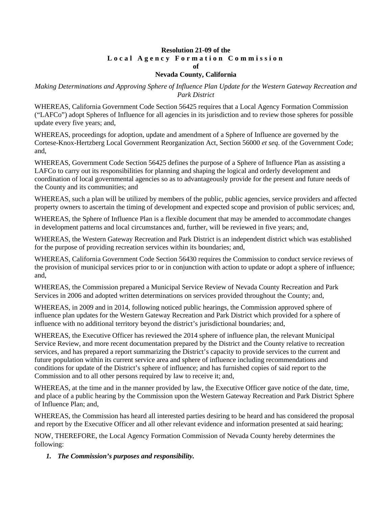#### **Resolution 21-09 of the Local Agency Formation Commission of**

## **Nevada County, California**

*Making Determinations and Approving Sphere of Influence Plan Update for the Western Gateway Recreation and Park District*

WHEREAS, California Government Code Section 56425 requires that a Local Agency Formation Commission ("LAFCo") adopt Spheres of Influence for all agencies in its jurisdiction and to review those spheres for possible update every five years; and,

WHEREAS, proceedings for adoption, update and amendment of a Sphere of Influence are governed by the Cortese-Knox-Hertzberg Local Government Reorganization Act, Section 56000 *et seq*. of the Government Code; and,

WHEREAS, Government Code Section 56425 defines the purpose of a Sphere of Influence Plan as assisting a LAFCo to carry out its responsibilities for planning and shaping the logical and orderly development and coordination of local governmental agencies so as to advantageously provide for the present and future needs of the County and its communities; and

WHEREAS, such a plan will be utilized by members of the public, public agencies, service providers and affected property owners to ascertain the timing of development and expected scope and provision of public services; and,

WHEREAS, the Sphere of Influence Plan is a flexible document that may be amended to accommodate changes in development patterns and local circumstances and, further, will be reviewed in five years; and,

WHEREAS, the Western Gateway Recreation and Park District is an independent district which was established for the purpose of providing recreation services within its boundaries; and,

WHEREAS, California Government Code Section 56430 requires the Commission to conduct service reviews of the provision of municipal services prior to or in conjunction with action to update or adopt a sphere of influence; and,

WHEREAS, the Commission prepared a Municipal Service Review of Nevada County Recreation and Park Services in 2006 and adopted written determinations on services provided throughout the County; and,

WHEREAS, in 2009 and in 2014, following noticed public hearings, the Commission approved sphere of influence plan updates for the Western Gateway Recreation and Park District which provided for a sphere of influence with no additional territory beyond the district's jurisdictional boundaries; and,

WHEREAS, the Executive Officer has reviewed the 2014 sphere of influence plan, the relevant Municipal Service Review, and more recent documentation prepared by the District and the County relative to recreation services, and has prepared a report summarizing the District's capacity to provide services to the current and future population within its current service area and sphere of influence including recommendations and conditions for update of the District's sphere of influence; and has furnished copies of said report to the Commission and to all other persons required by law to receive it; and,

WHEREAS, at the time and in the manner provided by law, the Executive Officer gave notice of the date, time, and place of a public hearing by the Commission upon the Western Gateway Recreation and Park District Sphere of Influence Plan; and,

WHEREAS, the Commission has heard all interested parties desiring to be heard and has considered the proposal and report by the Executive Officer and all other relevant evidence and information presented at said hearing;

NOW, THEREFORE, the Local Agency Formation Commission of Nevada County hereby determines the following:

*1. The Commission's purposes and responsibility.*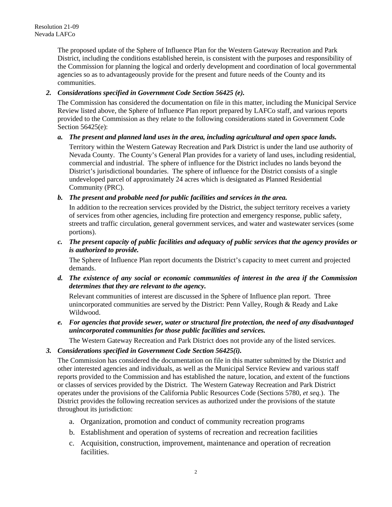The proposed update of the Sphere of Influence Plan for the Western Gateway Recreation and Park District, including the conditions established herein, is consistent with the purposes and responsibility of the Commission for planning the logical and orderly development and coordination of local governmental agencies so as to advantageously provide for the present and future needs of the County and its communities.

## *2. Considerations specified in Government Code Section 56425 (e).*

The Commission has considered the documentation on file in this matter, including the Municipal Service Review listed above, the Sphere of Influence Plan report prepared by LAFCo staff, and various reports provided to the Commission as they relate to the following considerations stated in Government Code Section 56425(e):

### *a. The present and planned land uses in the area, including agricultural and open space lands.*

Territory within the Western Gateway Recreation and Park District is under the land use authority of Nevada County. The County's General Plan provides for a variety of land uses, including residential, commercial and industrial. The sphere of influence for the District includes no lands beyond the District's jurisdictional boundaries. The sphere of influence for the District consists of a single undeveloped parcel of approximately 24 acres which is designated as Planned Residential Community (PRC).

# *b. The present and probable need for public facilities and services in the area.*

In addition to the recreation services provided by the District, the subject territory receives a variety of services from other agencies, including fire protection and emergency response, public safety, streets and traffic circulation, general government services, and water and wastewater services (some portions).

*c. The present capacity of public facilities and adequacy of public services that the agency provides or is authorized to provide.*

The Sphere of Influence Plan report documents the District's capacity to meet current and projected demands.

*d. The existence of any social or economic communities of interest in the area if the Commission determines that they are relevant to the agency.*

Relevant communities of interest are discussed in the Sphere of Influence plan report. Three unincorporated communities are served by the District: Penn Valley, Rough & Ready and Lake Wildwood.

*e. For agencies that provide sewer, water or structural fire protection, the need of any disadvantaged unincorporated communities for those public facilities and services.*

The Western Gateway Recreation and Park District does not provide any of the listed services.

### *3. Considerations specified in Government Code Section 56425(i).*

The Commission has considered the documentation on file in this matter submitted by the District and other interested agencies and individuals, as well as the Municipal Service Review and various staff reports provided to the Commission and has established the nature, location, and extent of the functions or classes of services provided by the District. The Western Gateway Recreation and Park District operates under the provisions of the California Public Resources Code (Sections 5780, *et seq.*). The District provides the following recreation services as authorized under the provisions of the statute throughout its jurisdiction:

- a. Organization, promotion and conduct of community recreation programs
- b. Establishment and operation of systems of recreation and recreation facilities
- c. Acquisition, construction, improvement, maintenance and operation of recreation facilities.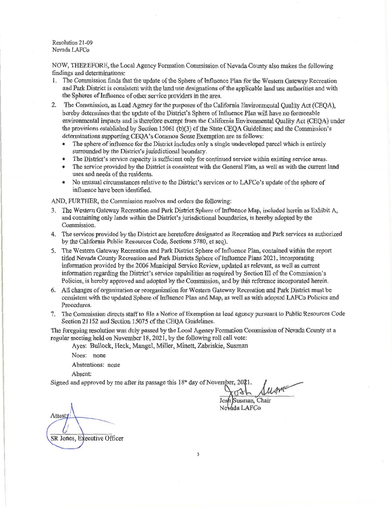Resolution 21-09 Nevada LAFCo

NOW, THEREFORE, the Local Agency Formation Commission of Nevada County also makes the following findings and determinations:

- The Commission finds that the update of the Sphere of Influence Plan for the Western Gateway Recreation 1. and Park District is consistent with the land use designations of the applicable land use authorities and with the Spheres of Influence of other service providers in the area.
- $2.$ The Commission, as Lead Agency for the purposes of the California Environmental Quality Act (CEOA). hereby determines that the update of the District's Sphere of Influence Plan will have no foreseeable environmental impacts and is therefore exempt from the California Environmental Quality Act (CEQA) under the provisions established by Section 15061 (b)(3) of the State CEOA Guidelines; and the Commission's determinations supporting CEQA's Common Sense Exemption are as follows:
	- The sphere of influence for the District includes only a single undeveloped parcel which is entirely surrounded by the District's jurisdictional boundary.
	- The District's service capacity is sufficient only for continued service within existing service areas.
	- The service provided by the District is consistent with the General Plan, as well as with the current land uses and needs of the residents.
	- No unusual circumstances relative to the District's services or to LAFCo's update of the sphere of influence have been identified.

AND, FURTHER, the Commission resolves and orders the following:

- 3. The Western Gateway Recreation and Park District Sphere of Influence Map, included herein as Exhibit A, and containing only lands within the District's jurisdictional boundaries, is hereby adopted by the Commission.
- 4. The services provided by the District are heretofore designated as Recreation and Park services as authorized by the California Public Resources Code, Sections 5780, et seq).
- 5. The Western Gateway Recreation and Park District Sphere of Influence Plan, contained within the report titled Nevada County Recreation and Park Districts Sphere of Influence Plans 2021, incorporating information provided by the 2006 Municipal Service Review, updated as relevant, as well as current information regarding the District's service capabilities as required by Section III of the Commission's Policies, is hereby approved and adopted by the Commission, and by this reference incorporated herein.
- 6. All changes of organization or reorganization for Western Gateway Recreation and Park District must be consistent with the updated Sphere of Influence Plan and Map, as well as with adopted LAFCo Policies and Procedures.
- 7. The Commission directs staff to file a Notice of Exemption as lead agency pursuant to Public Resources Code Section 21152 and Section 15075 of the CEQA Guidelines.

The foregoing resolution was duly passed by the Local Agency Formation Commission of Nevada County at a regular meeting held on November 18, 2021, by the following roll call vote:

Ayes: Bullock, Heck, Mangel, Miller, Minett, Zabriskie, Susman

Noes: none

Abstentions: none

Absent:

Signed and approved by me after its passage this 18<sup>th</sup> day of November, 2021.

Josh Susman, Chair Nevada LAFCo

Attest: SR Jones, Executive Officer